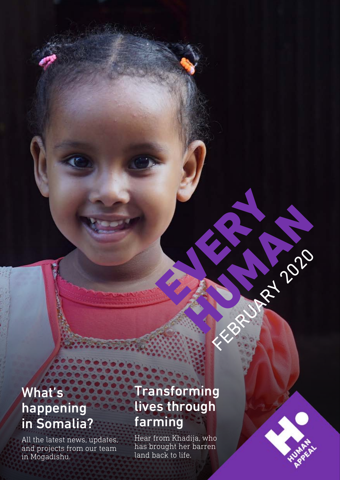### What's happening in Somalia?

All the latest news, updates, and projects from our team in Mogadishu.

### Transforming lives through farming

FEBRUARY 2020

HUMAN 2019

E

Hear from Khadija, who has brought her barren land back to life.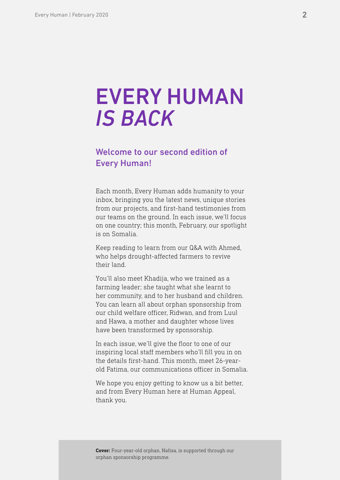### EVERY HUMAN *IS BACK*

#### Welcome to our second edition of Every Human!

Each month, Every Human adds humanity to your inbox, bringing you the latest news, unique stories from our projects, and first-hand testimonies from our teams on the ground. In each issue, we'll focus on one country; this month, February, our spotlight is on Somalia.

Keep reading to learn from our Q&A with Ahmed, who helps drought-affected farmers to revive their land.

You'll also meet Khadija, who we trained as a farming leader; she taught what she learnt to her community, and to her husband and children. You can learn all about orphan sponsorship from our child welfare officer, Ridwan, and from Luul and Hawa, a mother and daughter whose lives have been transformed by sponsorship.

In each issue, we'll give the floor to one of our inspiring local staff members who'll fill you in on the details first-hand. This month, meet 26-yearold Fatima, our communications officer in Somalia.

We hope you enjoy getting to know us a bit better, and from Every Human here at Human Appeal, thank you.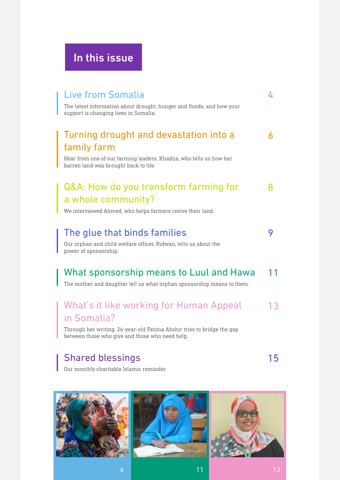### In this issue

| <b>Live from Somalia</b>                                                                                                  | ᠘  |
|---------------------------------------------------------------------------------------------------------------------------|----|
| The latest information about drought, hunger and floods, and how your<br>support is changing lives in Somalia.            |    |
| Turning drought and devastation into a                                                                                    | 6  |
| family farm                                                                                                               |    |
| Hear from one of our farming leaders, Khadija, who tells us how her<br>barren land was brought back to life.              |    |
| Q&A: How do you transform farming for                                                                                     |    |
| a whole community?                                                                                                        |    |
| We interviewed Ahmed, who helps farmers revive their land.                                                                |    |
| The glue that binds families                                                                                              | 9  |
| Our orphan and child welfare officer, Ridwan, tells us about the<br>power of sponsorship.                                 |    |
| What sponsorship means to Luul and Hawa                                                                                   |    |
| The mother and daughter tell us what orphan sponsorship means to them.                                                    |    |
| What's it like working for Human Appeal                                                                                   | 13 |
| in Somalia?                                                                                                               |    |
| Through her writing, 26-year-old Fatima Abshir tries to bridge the gap<br>between those who give and those who need help. |    |

### [Shared blessings](#page-14-0)

I

15

Our monthly charitable Islamic reminder.

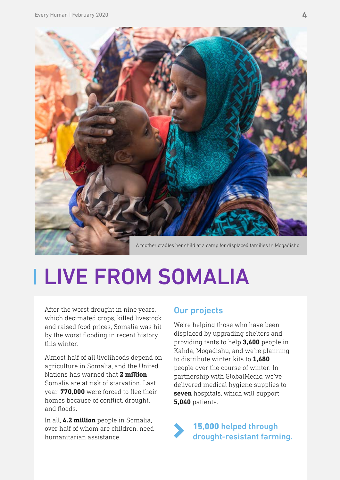<span id="page-3-0"></span>

# LIVE FROM SOMALIA

After the worst drought in nine years, which decimated crops, killed livestock and raised food prices, Somalia was hit by the worst flooding in recent history this winter.

Almost half of all livelihoods depend on agriculture in Somalia, and the United Nations has warned that **2 million**  Somalis are at risk of starvation. Last year, **770,000** were forced to flee their homes because of conflict, drought, and floods.

In all, **4.2 million** people in Somalia, over half of whom are children, need humanitarian assistance.

#### Our projects

We're helping those who have been displaced by upgrading shelters and providing tents to help **3,600** people in Kahda, Mogadishu, and we're planning to distribute winter kits to **1,680** people over the course of winter. In partnership with GlobalMedic, we've delivered medical hygiene supplies to **seven** hospitals, which will support **5,040** patients.

15,000 helped through drought-resistant farming.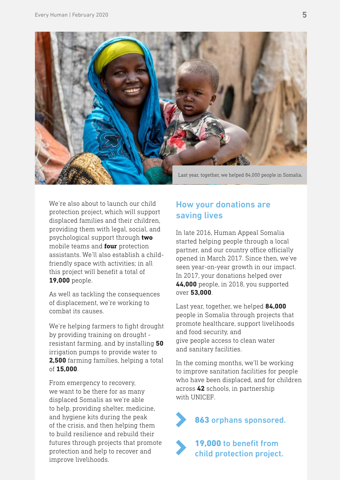

We're also about to launch our child protection project, which will support displaced families and their children, providing them with legal, social, and psychological support through **two** mobile teams and **four** protection assistants. We'll also establish a childfriendly space with activities; in all this project will benefit a total of **19,000** people.

As well as tackling the consequences of displacement, we're working to combat its causes.

We're helping farmers to fight drought by providing training on drought resistant farming, and by installing **50** irrigation pumps to provide water to **2,500** farming families, helping a total of **15,000**.

From emergency to recovery, we want to be there for as many displaced Somalis as we're able to help, providing shelter, medicine, and hygiene kits during the peak of the crisis, and then helping them to build resilience and rebuild their futures through projects that promote protection and help to recover and improve livelihoods.

#### How your donations are saving lives

In late 2016, Human Appeal Somalia started helping people through a local partner, and our country office officially opened in March 2017. Since then, we've seen year-on-year growth in our impact. In 2017, your donations helped over **44,000** people, in 2018, you supported over **53,000**.

Last year, together, we helped **84,000** people in Somalia through projects that promote healthcare, support livelihoods and food security, and give people access to clean water and sanitary facilities.

In the coming months, we'll be working to improve sanitation facilities for people who have been displaced, and for children across **42** schools, in partnership with UNICEF

863 orphans sponsored.

19,000 to benefit from child protection project.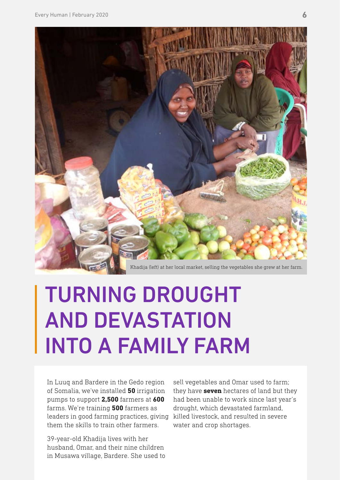<span id="page-5-0"></span>

# TURNING DROUGHT AND DEVASTATION INTO A FAMILY FARM

In Luuq and Bardere in the Gedo region of Somalia, we've installed **50** irrigation pumps to support **2,500** farmers at **600**  farms. We're training **500** farmers as leaders in good farming practices, giving killed livestock, and resulted in severe them the skills to train other farmers.

39-year-old Khadija lives with her husband, Omar, and their nine children in Musawa village, Bardere. She used to sell vegetables and Omar used to farm; they have **seven** hectares of land but they had been unable to work since last year's drought, which devastated farmland, water and crop shortages.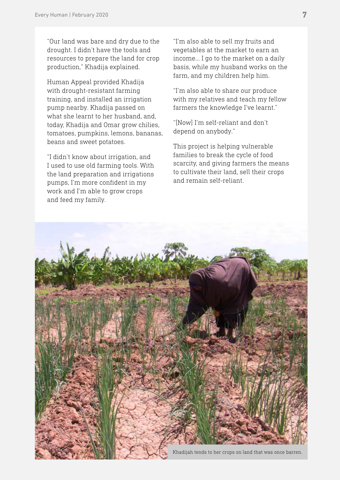"Our land was bare and dry due to the drought. I didn't have the tools and resources to prepare the land for crop production," Khadija explained.

Human Appeal provided Khadija with drought-resistant farming training, and installed an irrigation pump nearby. Khadija passed on what she learnt to her husband, and, today, Khadija and Omar grow chilies, tomatoes, pumpkins, lemons, bananas, beans and sweet potatoes.

"I didn't know about irrigation, and I used to use old farming tools. With the land preparation and irrigations pumps, I'm more confident in my work and I'm able to grow crops and feed my family.

"I'm also able to sell my fruits and vegetables at the market to earn an income… I go to the market on a daily basis, while my husband works on the farm, and my children help him.

"I'm also able to share our produce with my relatives and teach my fellow farmers the knowledge I've learnt."

"[Now] I'm self-reliant and don't depend on anybody."

This project is helping vulnerable families to break the cycle of food scarcity, and giving farmers the means to cultivate their land, sell their crops and remain self-reliant.

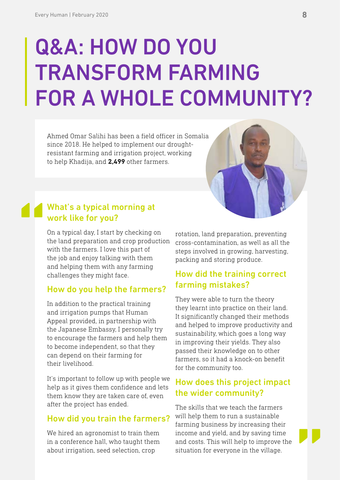# <span id="page-7-0"></span>Q&A: HOW DO YOU TRANSFORM FARMING FOR A WHOLE COMMUNITY?

Ahmed Omar Salihi has been a field officer in Somalia since 2018. He helped to implement our droughtresistant farming and irrigation project, working to help Khadija, and **2,499** other farmers.

## **"** What's a typical morning at work like for you?

On a typical day, I start by checking on the land preparation and crop production with the farmers. I love this part of the job and enjoy talking with them and helping them with any farming challenges they might face.

#### How do you help the farmers?

In addition to the practical training and irrigation pumps that Human Appeal provided, in partnership with the Japanese Embassy, I personally try to encourage the farmers and help them to become independent, so that they can depend on their farming for their livelihood.

It's important to follow up with people we help as it gives them confidence and lets them know they are taken care of, even after the project has ended.

#### How did you train the farmers?

We hired an agronomist to train them in a conference hall, who taught them about irrigation, seed selection, crop

rotation, land preparation, preventing cross-contamination, as well as all the steps involved in growing, harvesting, packing and storing produce.

#### How did the training correct farming mistakes?

They were able to turn the theory they learnt into practice on their land. It significantly changed their methods and helped to improve productivity and sustainability, which goes a long way in improving their yields. They also passed their knowledge on to other farmers, so it had a knock-on benefit for the community too.

#### How does this project impact the wider community?

The skills that we teach the farmers will help them to run a sustainable farming business by increasing their income and yield, and by saving time and costs. This will help to improve the situation for everyone in the village.

**"**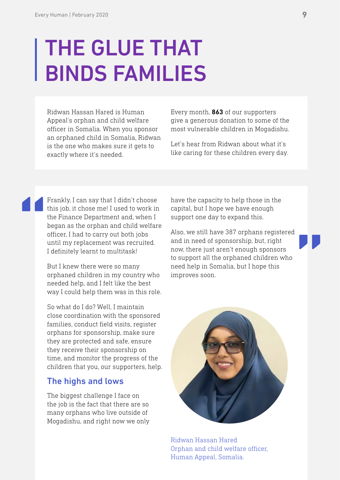# <span id="page-8-0"></span>THE GLUE THAT BINDS FAMILIES

Ridwan Hassan Hared is Human Appeal's orphan and child welfare officer in Somalia. When you sponsor an orphaned child in Somalia, Ridwan is the one who makes sure it gets to exactly where it's needed.

Every month, **863** of our supporters give a generous donation to some of the most vulnerable children in Mogadishu.

Let's hear from Ridwan about what it's like caring for these children every day.

Frankly, I can say that I didn't choose this job, it chose me! I used to work in the Finance Department and, when I began as the orphan and child welfare officer, I had to carry out both jobs until my replacement was recruited. I definitely learnt to multitask!

**"**

But I knew there were so many orphaned children in my country who needed help, and I felt like the best way I could help them was in this role.

So what do I do? Well, I maintain close coordination with the sponsored families, conduct field visits, register orphans for sponsorship, make sure they are protected and safe, ensure they receive their sponsorship on time, and monitor the progress of the children that you, our supporters, help.

#### The highs and lows

The biggest challenge I face on the job is the fact that there are so many orphans who live outside of Mogadishu, and right now we only

have the capacity to help those in the capital, but I hope we have enough support one day to expand this.

**"** Also, we still have 387 orphans registered and in need of sponsorship, but, right now, there just aren't enough sponsors to support all the orphaned children who need help in Somalia, but I hope this improves soon.



Ridwan Hassan Hared Orphan and child welfare officer, Human Appeal, Somalia.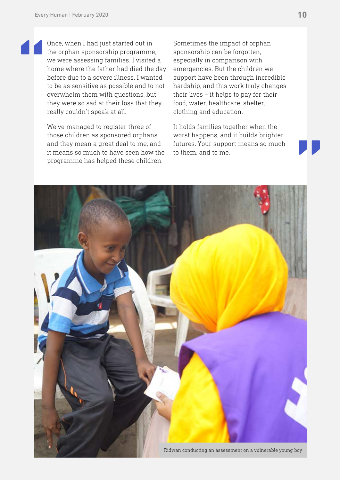**"**

Once, when I had just started out in the orphan sponsorship programme, we were assessing families. I visited a home where the father had died the day before due to a severe illness. I wanted to be as sensitive as possible and to not overwhelm them with questions, but they were so sad at their loss that they really couldn't speak at all.

We've managed to register three of those children as sponsored orphans and they mean a great deal to me, and it means so much to have seen how the programme has helped these children.

Sometimes the impact of orphan sponsorship can be forgotten, especially in comparison with emergencies. But the children we support have been through incredible hardship, and this work truly changes their lives – it helps to pay for their food, water, healthcare, shelter, clothing and education.

It holds families together when the worst happens, and it builds brighter futures. Your support means so much to them, and to me.

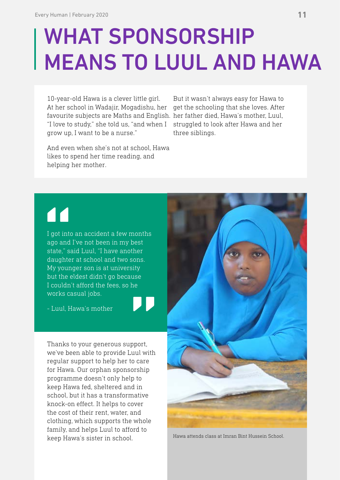# <span id="page-10-0"></span>WHAT SPONSORSHIP MEANS TO LUUL AND HAWA

10-year-old Hawa is a clever little girl. At her school in Wadajir, Mogadishu, her favourite subjects are Maths and English. her father died, Hawa's mother, Luul, "I love to study," she told us, "and when I struggled to look after Hawa and her grow up, I want to be a nurse."

But it wasn't always easy for Hawa to get the schooling that she loves. After three siblings.

And even when she's not at school, Hawa likes to spend her time reading, and helping her mother.

### **"**

I got into an accident a few months ago and I've not been in my best state," said Luul, "I have another daughter at school and two sons. My younger son is at university but the eldest didn't go because I couldn't afford the fees, so he works casual jobs.

**"**

- Luul, Hawa's mother

Thanks to your generous support, we've been able to provide Luul with regular support to help her to care for Hawa. Our orphan sponsorship programme doesn't only help to keep Hawa fed, sheltered and in school, but it has a transformative knock-on effect. It helps to cover the cost of their rent, water, and clothing, which supports the whole family, and helps Luul to afford to keep Hawa's sister in school.



Hawa attends class at Imran Bint Hussein School.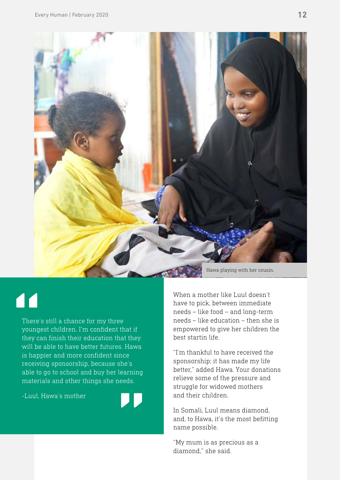

### **"**

There's still a chance for my three youngest children. I'm confident that if they can finish their education that they will be able to have better futures. Hawa is happier and more confident since receiving sponsorship, because she's able to go to school and buy her learning materials and other things she needs.

-Luul, Hawa's mother



When a mother like Luul doesn't have to pick, between immediate needs – like food – and long-term needs – like education – then she is empowered to give her children the best startin life.

"I'm thankful to have received the sponsorship; it has made my life better," added Hawa. Your donations relieve some of the pressure and struggle for widowed mothers and their children.

In Somali, Luul means diamond, and, to Hawa, it's the most befitting name possible.

"My mum is as precious as a diamond," she said.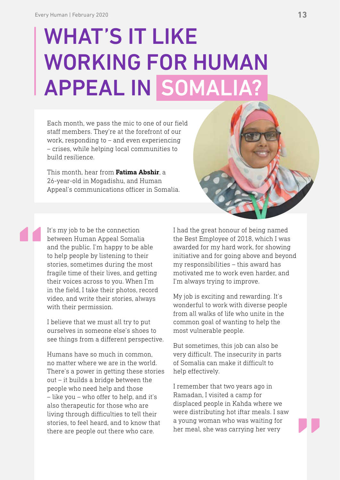# <span id="page-12-0"></span>WHAT'S IT LIKE WORKING FOR HUMAN APPEAL IN SOMALIA?

Each month, we pass the mic to one of our field staff members. They're at the forefront of our work, responding to – and even experiencing – crises, while helping local communities to build resilience.

This month, hear from **Fatima Abshir**, a 26-year-old in Mogadishu, and Human Appeal's communications officer in Somalia.



It's my job to be the connection between Human Appeal Somalia and the public. I'm happy to be able to help people by listening to their stories, sometimes during the most fragile time of their lives, and getting their voices across to you. When I'm in the field, I take their photos, record video, and write their stories, always with their permission.

**"**

I believe that we must all try to put ourselves in someone else's shoes to see things from a different perspective.

Humans have so much in common, no matter where we are in the world. There's a power in getting these stories out – it builds a bridge between the people who need help and those – like you – who offer to help, and it's also therapeutic for those who are living through difficulties to tell their stories, to feel heard, and to know that there are people out there who care.

I had the great honour of being named the Best Employee of 2018, which I was awarded for my hard work, for showing initiative and for going above and beyond my responsibilities – this award has motivated me to work even harder, and I'm always trying to improve.

My job is exciting and rewarding. It's wonderful to work with diverse people from all walks of life who unite in the common goal of wanting to help the most vulnerable people.

But sometimes, this job can also be very difficult. The insecurity in parts of Somalia can make it difficult to help effectively.

I remember that two years ago in Ramadan, I visited a camp for displaced people in Kahda where we were distributing hot iftar meals. I saw a young woman who was waiting for her meal, she was carrying her very

**"**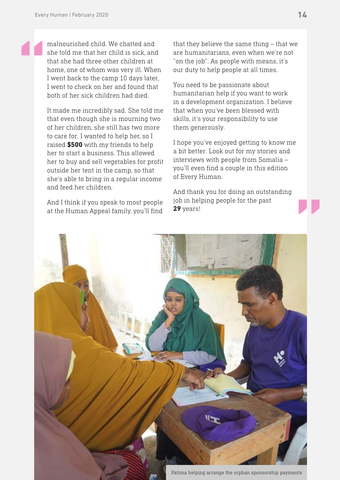**"**

malnourished child. We chatted and she told me that her child is sick, and that she had three other children at home, one of whom was very ill. When I went back to the camp 10 days later, I went to check on her and found that both of her sick children had died.

It made me incredibly sad. She told me that even though she is mourning two of her children, she still has two more to care for. I wanted to help her, so I raised **\$500** with my friends to help her to start a business. This allowed her to buy and sell vegetables for profit outside her tent in the camp, so that she's able to bring in a regular income and feed her children.

And I think if you speak to most people at the Human Appeal family, you'll find that they believe the same thing – that we are humanitarians, even when we're not "on the job". As people with means, it's our duty to help people at all times.

You need to be passionate about humanitarian help if you want to work in a development organization. I believe that when you've been blessed with skills, it's your responsibility to use them generously.

I hope you've enjoyed getting to know me a bit better. Look out for my stories and interviews with people from Somalia – you'll even find a couple in this edition of Every Human.

And thank you for doing an outstanding job in helping people for the past



Fatima helping arrange the orphan sponsorship payments